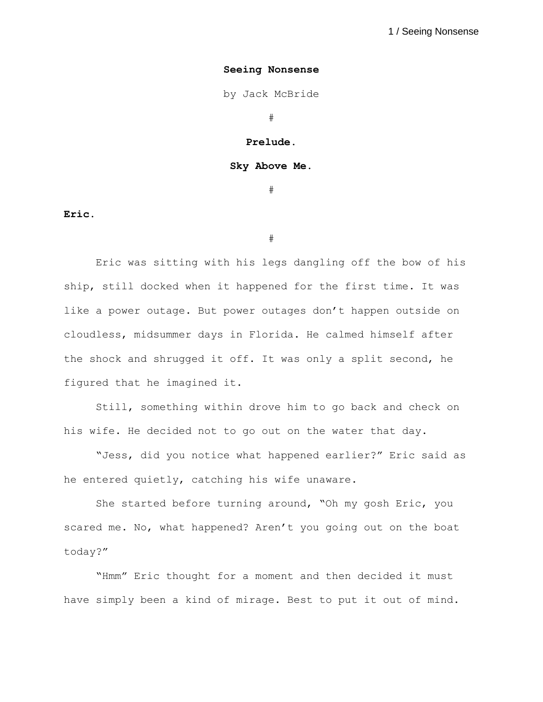by Jack McBride

#

**Prelude.**

**Sky Above Me.**

#

**Eric.**

#

Eric was sitting with his legs dangling off the bow of his ship, still docked when it happened for the first time. It was like a power outage. But power outages don't happen outside on cloudless, midsummer days in Florida. He calmed himself after the shock and shrugged it off. It was only a split second, he figured that he imagined it.

Still, something within drove him to go back and check on his wife. He decided not to go out on the water that day.

"Jess, did you notice what happened earlier?" Eric said as he entered quietly, catching his wife unaware.

She started before turning around, "Oh my gosh Eric, you scared me. No, what happened? Aren't you going out on the boat today?"

"Hmm" Eric thought for a moment and then decided it must have simply been a kind of mirage. Best to put it out of mind.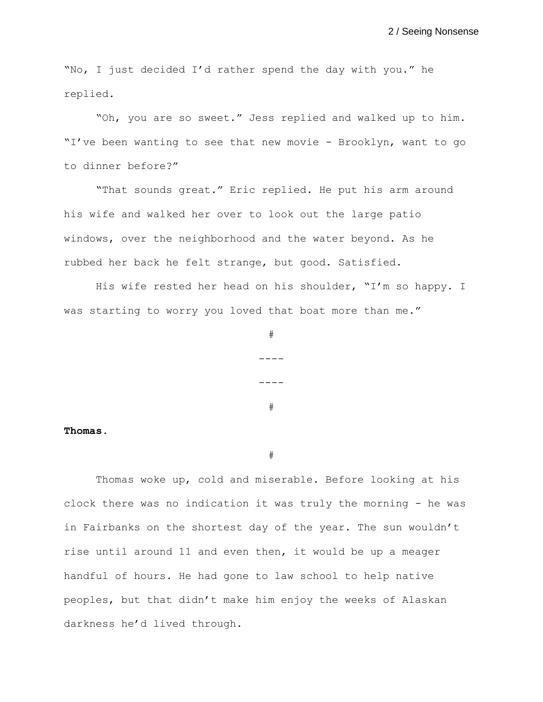"No, I just decided I'd rather spend the day with you." he replied.

"Oh, you are so sweet." Jess replied and walked up to him. "I've been wanting to see that new movie - Brooklyn, want to go to dinner before?"

"That sounds great." Eric replied. He put his arm around his wife and walked her over to look out the large patio windows, over the neighborhood and the water beyond. As he rubbed her back he felt strange, but good. Satisfied.

His wife rested her head on his shoulder, "I'm so happy. I was starting to worry you loved that boat more than me."

#

 $---$ 

----

#

**Thomas.**

#

Thomas woke up, cold and miserable. Before looking at his clock there was no indication it was truly the morning - he was in Fairbanks on the shortest day of the year. The sun wouldn't rise until around 11 and even then, it would be up a meager handful of hours. He had gone to law school to help native peoples, but that didn't make him enjoy the weeks of Alaskan darkness he'd lived through.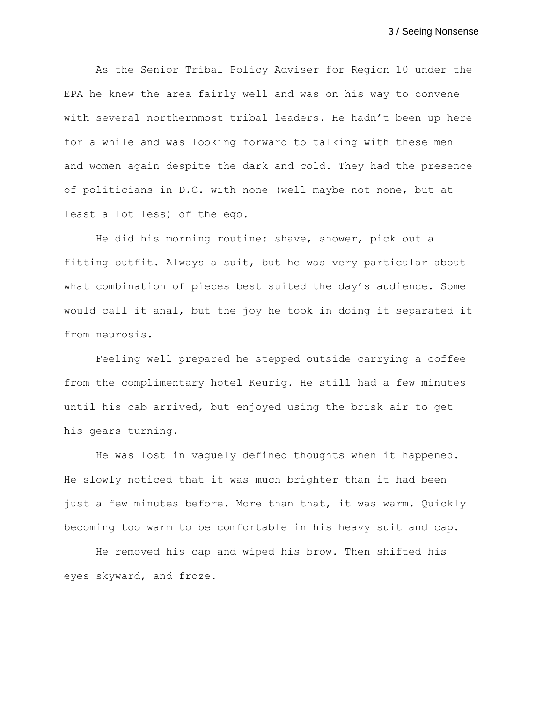As the Senior Tribal Policy Adviser for Region 10 under the EPA he knew the area fairly well and was on his way to convene with several northernmost tribal leaders. He hadn't been up here for a while and was looking forward to talking with these men and women again despite the dark and cold. They had the presence of politicians in D.C. with none (well maybe not none, but at least a lot less) of the ego.

He did his morning routine: shave, shower, pick out a fitting outfit. Always a suit, but he was very particular about what combination of pieces best suited the day's audience. Some would call it anal, but the joy he took in doing it separated it from neurosis.

Feeling well prepared he stepped outside carrying a coffee from the complimentary hotel Keurig. He still had a few minutes until his cab arrived, but enjoyed using the brisk air to get his gears turning.

He was lost in vaguely defined thoughts when it happened. He slowly noticed that it was much brighter than it had been just a few minutes before. More than that, it was warm. Quickly becoming too warm to be comfortable in his heavy suit and cap.

He removed his cap and wiped his brow. Then shifted his eyes skyward, and froze.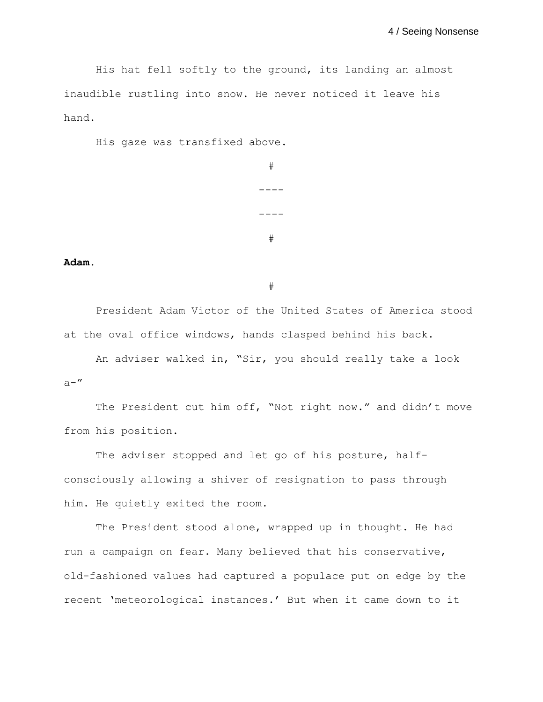His hat fell softly to the ground, its landing an almost inaudible rustling into snow. He never noticed it leave his hand.

His gaze was transfixed above.

```
#
----
----
 #
```
**Adam.**

#

President Adam Victor of the United States of America stood at the oval office windows, hands clasped behind his back.

An adviser walked in, "Sir, you should really take a look  $a -$ "

The President cut him off, "Not right now." and didn't move from his position.

The adviser stopped and let go of his posture, halfconsciously allowing a shiver of resignation to pass through him. He quietly exited the room.

The President stood alone, wrapped up in thought. He had run a campaign on fear. Many believed that his conservative, old-fashioned values had captured a populace put on edge by the recent 'meteorological instances.' But when it came down to it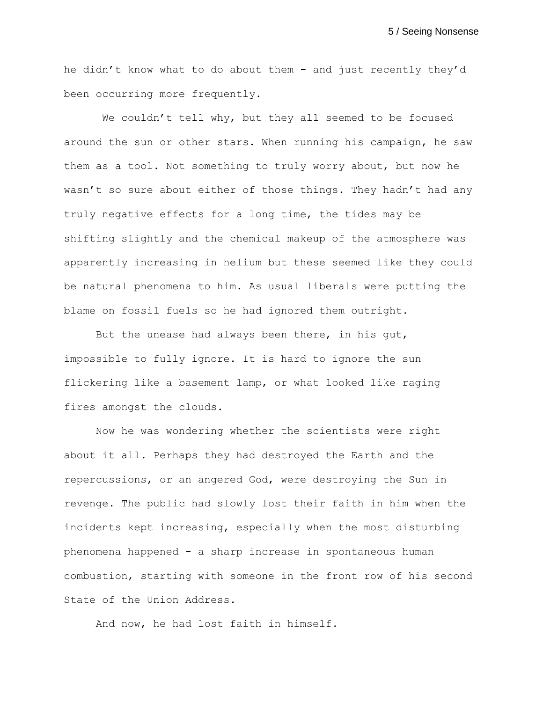he didn't know what to do about them - and just recently they'd been occurring more frequently.

We couldn't tell why, but they all seemed to be focused around the sun or other stars. When running his campaign, he saw them as a tool. Not something to truly worry about, but now he wasn't so sure about either of those things. They hadn't had any truly negative effects for a long time, the tides may be shifting slightly and the chemical makeup of the atmosphere was apparently increasing in helium but these seemed like they could be natural phenomena to him. As usual liberals were putting the blame on fossil fuels so he had ignored them outright.

But the unease had always been there, in his gut, impossible to fully ignore. It is hard to ignore the sun flickering like a basement lamp, or what looked like raging fires amongst the clouds.

Now he was wondering whether the scientists were right about it all. Perhaps they had destroyed the Earth and the repercussions, or an angered God, were destroying the Sun in revenge. The public had slowly lost their faith in him when the incidents kept increasing, especially when the most disturbing phenomena happened - a sharp increase in spontaneous human combustion, starting with someone in the front row of his second State of the Union Address.

And now, he had lost faith in himself.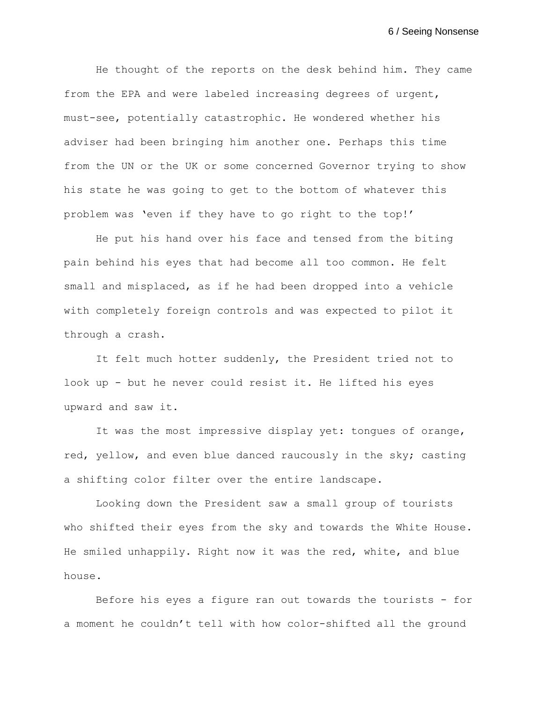He thought of the reports on the desk behind him. They came from the EPA and were labeled increasing degrees of urgent, must-see, potentially catastrophic. He wondered whether his adviser had been bringing him another one. Perhaps this time from the UN or the UK or some concerned Governor trying to show his state he was going to get to the bottom of whatever this problem was 'even if they have to go right to the top!'

He put his hand over his face and tensed from the biting pain behind his eyes that had become all too common. He felt small and misplaced, as if he had been dropped into a vehicle with completely foreign controls and was expected to pilot it through a crash.

It felt much hotter suddenly, the President tried not to look up - but he never could resist it. He lifted his eyes upward and saw it.

It was the most impressive display yet: tongues of orange, red, yellow, and even blue danced raucously in the sky; casting a shifting color filter over the entire landscape.

Looking down the President saw a small group of tourists who shifted their eyes from the sky and towards the White House. He smiled unhappily. Right now it was the red, white, and blue house.

Before his eyes a figure ran out towards the tourists - for a moment he couldn't tell with how color-shifted all the ground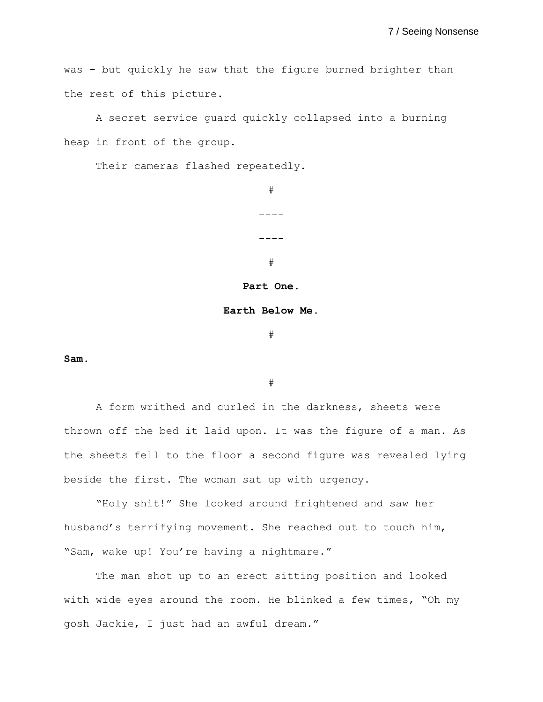was - but quickly he saw that the figure burned brighter than the rest of this picture.

A secret service guard quickly collapsed into a burning heap in front of the group.

Their cameras flashed repeatedly.

# ----  $----$ #

#### **Part One.**

#### **Earth Below Me.**

#

**Sam.**

#

A form writhed and curled in the darkness, sheets were thrown off the bed it laid upon. It was the figure of a man. As the sheets fell to the floor a second figure was revealed lying beside the first. The woman sat up with urgency.

"Holy shit!" She looked around frightened and saw her husband's terrifying movement. She reached out to touch him, "Sam, wake up! You're having a nightmare."

The man shot up to an erect sitting position and looked with wide eyes around the room. He blinked a few times, "Oh my gosh Jackie, I just had an awful dream."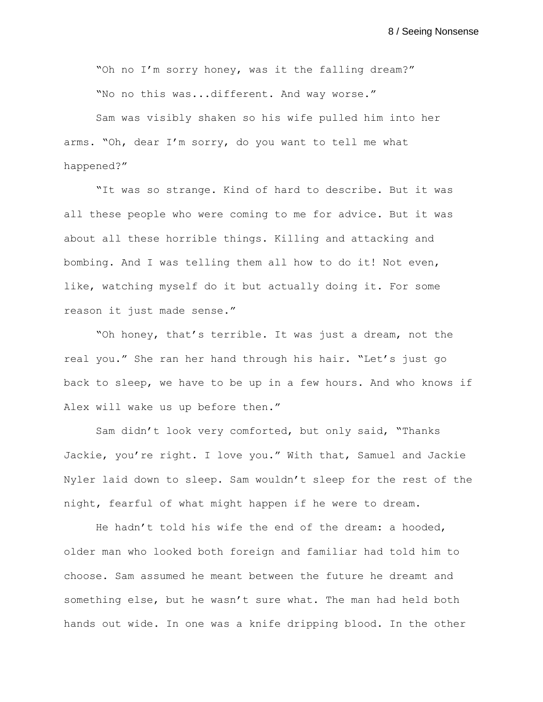"Oh no I'm sorry honey, was it the falling dream?" "No no this was...different. And way worse."

Sam was visibly shaken so his wife pulled him into her arms. "Oh, dear I'm sorry, do you want to tell me what happened?"

"It was so strange. Kind of hard to describe. But it was all these people who were coming to me for advice. But it was about all these horrible things. Killing and attacking and bombing. And I was telling them all how to do it! Not even, like, watching myself do it but actually doing it. For some reason it just made sense."

"Oh honey, that's terrible. It was just a dream, not the real you." She ran her hand through his hair. "Let's just go back to sleep, we have to be up in a few hours. And who knows if Alex will wake us up before then."

Sam didn't look very comforted, but only said, "Thanks Jackie, you're right. I love you." With that, Samuel and Jackie Nyler laid down to sleep. Sam wouldn't sleep for the rest of the night, fearful of what might happen if he were to dream.

He hadn't told his wife the end of the dream: a hooded, older man who looked both foreign and familiar had told him to choose. Sam assumed he meant between the future he dreamt and something else, but he wasn't sure what. The man had held both hands out wide. In one was a knife dripping blood. In the other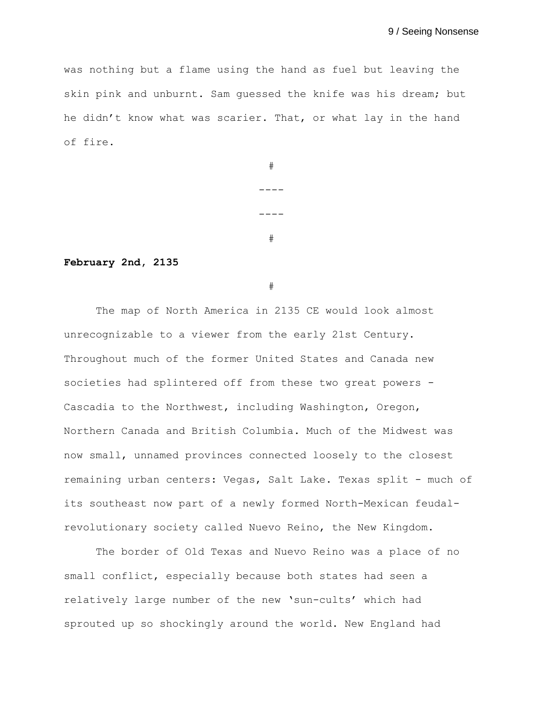was nothing but a flame using the hand as fuel but leaving the skin pink and unburnt. Sam guessed the knife was his dream; but he didn't know what was scarier. That, or what lay in the hand of fire.

|  | # |  |
|--|---|--|
|  |   |  |
|  |   |  |
|  | # |  |

## **February 2nd, 2135**

#

The map of North America in 2135 CE would look almost unrecognizable to a viewer from the early 21st Century. Throughout much of the former United States and Canada new societies had splintered off from these two great powers - Cascadia to the Northwest, including Washington, Oregon, Northern Canada and British Columbia. Much of the Midwest was now small, unnamed provinces connected loosely to the closest remaining urban centers: Vegas, Salt Lake. Texas split - much of its southeast now part of a newly formed North-Mexican feudalrevolutionary society called Nuevo Reino, the New Kingdom.

The border of Old Texas and Nuevo Reino was a place of no small conflict, especially because both states had seen a relatively large number of the new 'sun-cults' which had sprouted up so shockingly around the world. New England had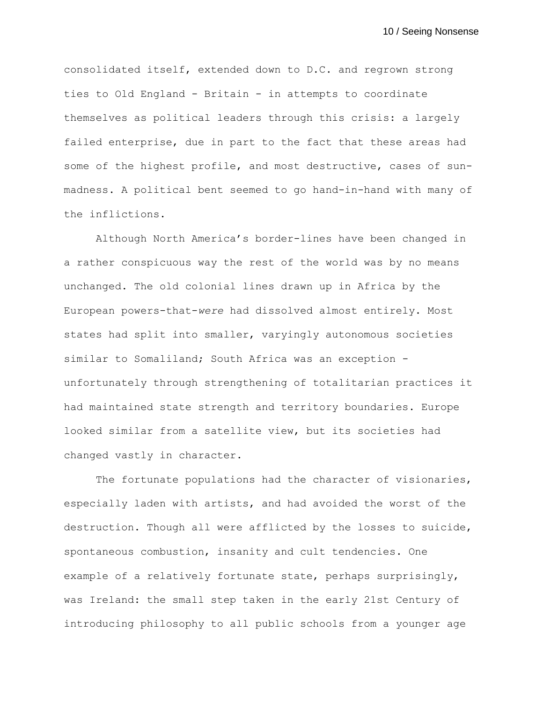consolidated itself, extended down to D.C. and regrown strong ties to Old England - Britain - in attempts to coordinate themselves as political leaders through this crisis: a largely failed enterprise, due in part to the fact that these areas had some of the highest profile, and most destructive, cases of sunmadness. A political bent seemed to go hand-in-hand with many of the inflictions.

Although North America's border-lines have been changed in a rather conspicuous way the rest of the world was by no means unchanged. The old colonial lines drawn up in Africa by the European powers-that-*were* had dissolved almost entirely. Most states had split into smaller, varyingly autonomous societies similar to Somaliland; South Africa was an exception unfortunately through strengthening of totalitarian practices it had maintained state strength and territory boundaries. Europe looked similar from a satellite view, but its societies had changed vastly in character.

The fortunate populations had the character of visionaries, especially laden with artists, and had avoided the worst of the destruction. Though all were afflicted by the losses to suicide, spontaneous combustion, insanity and cult tendencies. One example of a relatively fortunate state, perhaps surprisingly, was Ireland: the small step taken in the early 21st Century of introducing philosophy to all public schools from a younger age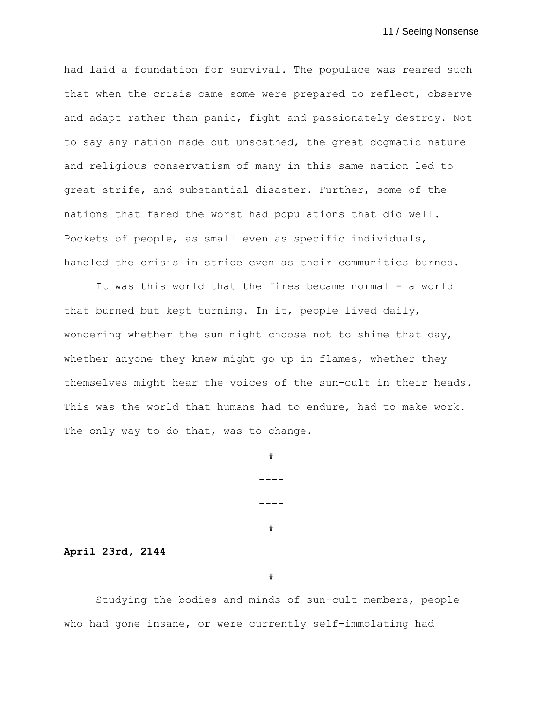had laid a foundation for survival. The populace was reared such that when the crisis came some were prepared to reflect, observe and adapt rather than panic, fight and passionately destroy. Not to say any nation made out unscathed, the great dogmatic nature and religious conservatism of many in this same nation led to great strife, and substantial disaster. Further, some of the nations that fared the worst had populations that did well. Pockets of people, as small even as specific individuals, handled the crisis in stride even as their communities burned.

It was this world that the fires became normal - a world that burned but kept turning. In it, people lived daily, wondering whether the sun might choose not to shine that day, whether anyone they knew might go up in flames, whether they themselves might hear the voices of the sun-cult in their heads. This was the world that humans had to endure, had to make work. The only way to do that, was to change.

#

----

----

#

**April 23rd, 2144**

#

Studying the bodies and minds of sun-cult members, people who had gone insane, or were currently self-immolating had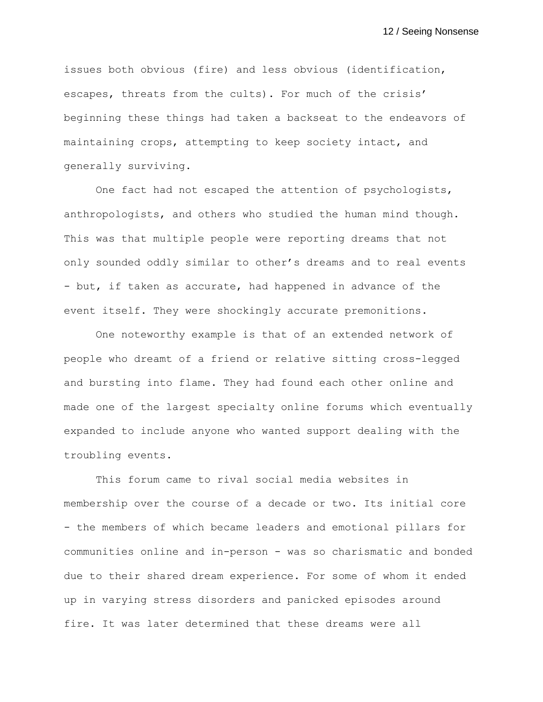issues both obvious (fire) and less obvious (identification, escapes, threats from the cults). For much of the crisis' beginning these things had taken a backseat to the endeavors of maintaining crops, attempting to keep society intact, and generally surviving.

One fact had not escaped the attention of psychologists, anthropologists, and others who studied the human mind though. This was that multiple people were reporting dreams that not only sounded oddly similar to other's dreams and to real events - but, if taken as accurate, had happened in advance of the event itself. They were shockingly accurate premonitions.

One noteworthy example is that of an extended network of people who dreamt of a friend or relative sitting cross-legged and bursting into flame. They had found each other online and made one of the largest specialty online forums which eventually expanded to include anyone who wanted support dealing with the troubling events.

This forum came to rival social media websites in membership over the course of a decade or two. Its initial core - the members of which became leaders and emotional pillars for communities online and in-person - was so charismatic and bonded due to their shared dream experience. For some of whom it ended up in varying stress disorders and panicked episodes around fire. It was later determined that these dreams were all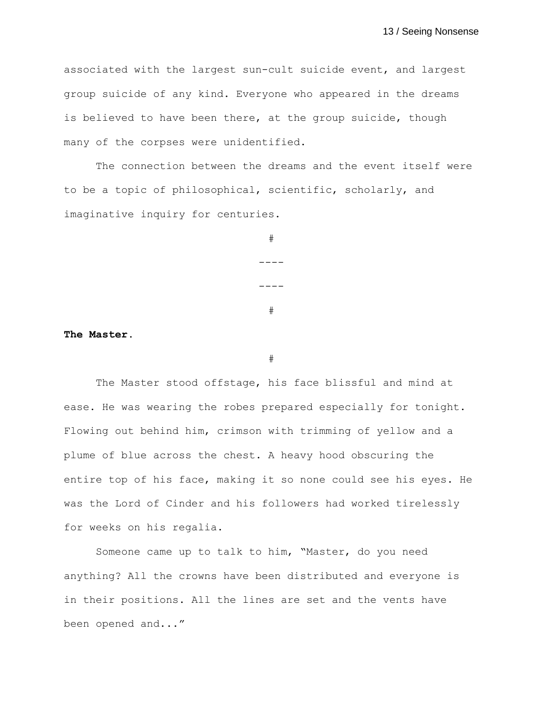associated with the largest sun-cult suicide event, and largest group suicide of any kind. Everyone who appeared in the dreams is believed to have been there, at the group suicide, though many of the corpses were unidentified.

The connection between the dreams and the event itself were to be a topic of philosophical, scientific, scholarly, and imaginative inquiry for centuries.

> # ---- ---- #

**The Master.**

#

The Master stood offstage, his face blissful and mind at ease. He was wearing the robes prepared especially for tonight. Flowing out behind him, crimson with trimming of yellow and a plume of blue across the chest. A heavy hood obscuring the entire top of his face, making it so none could see his eyes. He was the Lord of Cinder and his followers had worked tirelessly for weeks on his regalia.

Someone came up to talk to him, "Master, do you need anything? All the crowns have been distributed and everyone is in their positions. All the lines are set and the vents have been opened and..."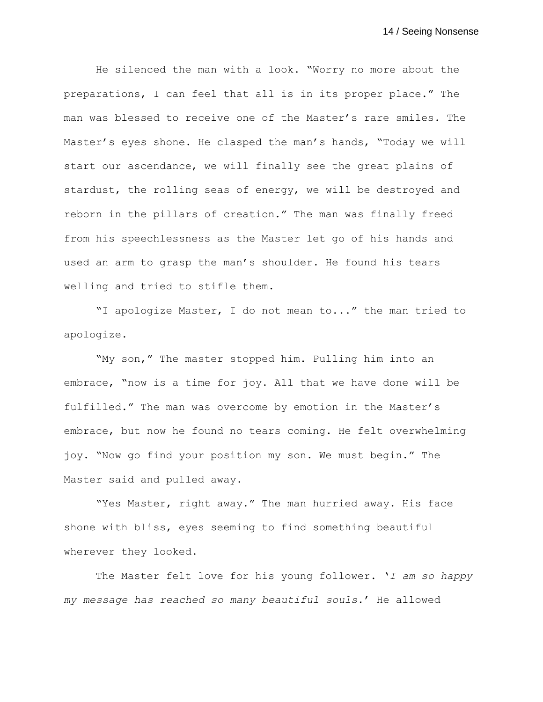He silenced the man with a look. "Worry no more about the preparations, I can feel that all is in its proper place." The man was blessed to receive one of the Master's rare smiles. The Master's eyes shone. He clasped the man's hands, "Today we will start our ascendance, we will finally see the great plains of stardust, the rolling seas of energy, we will be destroyed and reborn in the pillars of creation." The man was finally freed from his speechlessness as the Master let go of his hands and used an arm to grasp the man's shoulder. He found his tears welling and tried to stifle them.

"I apologize Master, I do not mean to..." the man tried to apologize.

"My son," The master stopped him. Pulling him into an embrace, "now is a time for joy. All that we have done will be fulfilled." The man was overcome by emotion in the Master's embrace, but now he found no tears coming. He felt overwhelming joy. "Now go find your position my son. We must begin." The Master said and pulled away.

"Yes Master, right away." The man hurried away. His face shone with bliss, eyes seeming to find something beautiful wherever they looked.

The Master felt love for his young follower. '*I am so happy my message has reached so many beautiful souls.*' He allowed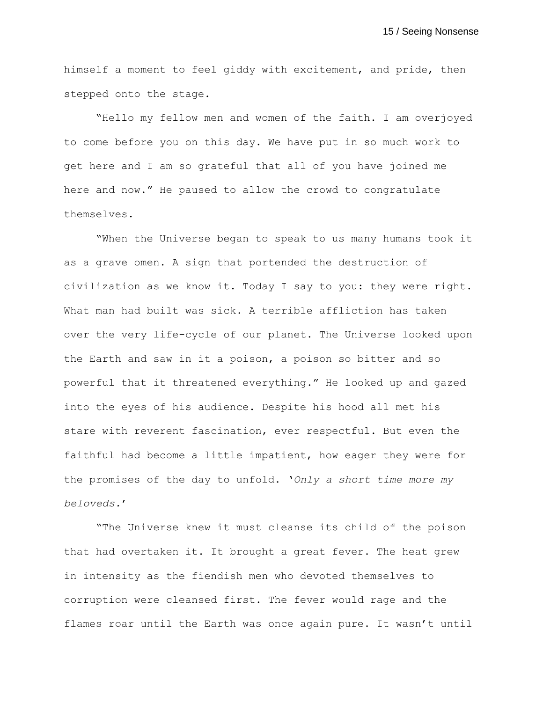himself a moment to feel giddy with excitement, and pride, then stepped onto the stage.

"Hello my fellow men and women of the faith. I am overjoyed to come before you on this day. We have put in so much work to get here and I am so grateful that all of you have joined me here and now." He paused to allow the crowd to congratulate themselves.

"When the Universe began to speak to us many humans took it as a grave omen. A sign that portended the destruction of civilization as we know it. Today I say to you: they were right. What man had built was sick. A terrible affliction has taken over the very life-cycle of our planet. The Universe looked upon the Earth and saw in it a poison, a poison so bitter and so powerful that it threatened everything." He looked up and gazed into the eyes of his audience. Despite his hood all met his stare with reverent fascination, ever respectful. But even the faithful had become a little impatient, how eager they were for the promises of the day to unfold. '*Only a short time more my beloveds.*'

"The Universe knew it must cleanse its child of the poison that had overtaken it. It brought a great fever. The heat grew in intensity as the fiendish men who devoted themselves to corruption were cleansed first. The fever would rage and the flames roar until the Earth was once again pure. It wasn't until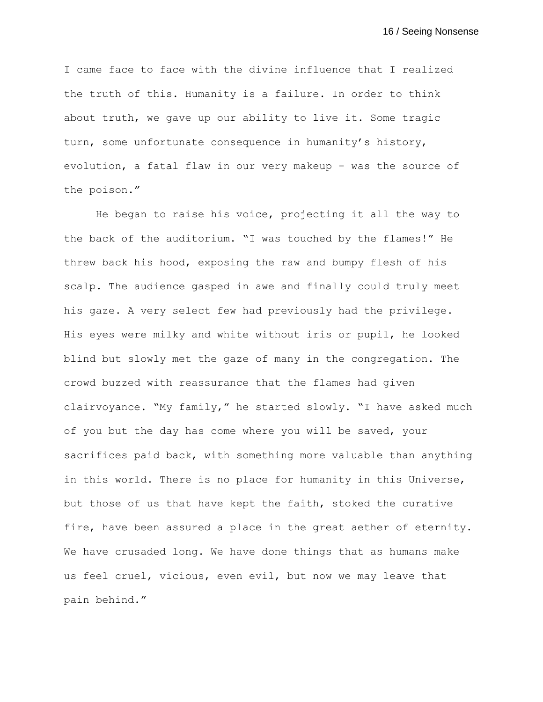I came face to face with the divine influence that I realized the truth of this. Humanity is a failure. In order to think about truth, we gave up our ability to live it. Some tragic turn, some unfortunate consequence in humanity's history, evolution, a fatal flaw in our very makeup - was the source of the poison."

He began to raise his voice, projecting it all the way to the back of the auditorium. "I was touched by the flames!" He threw back his hood, exposing the raw and bumpy flesh of his scalp. The audience gasped in awe and finally could truly meet his gaze. A very select few had previously had the privilege. His eyes were milky and white without iris or pupil, he looked blind but slowly met the gaze of many in the congregation. The crowd buzzed with reassurance that the flames had given clairvoyance. "My family," he started slowly. "I have asked much of you but the day has come where you will be saved, your sacrifices paid back, with something more valuable than anything in this world. There is no place for humanity in this Universe, but those of us that have kept the faith, stoked the curative fire, have been assured a place in the great aether of eternity. We have crusaded long. We have done things that as humans make us feel cruel, vicious, even evil, but now we may leave that pain behind."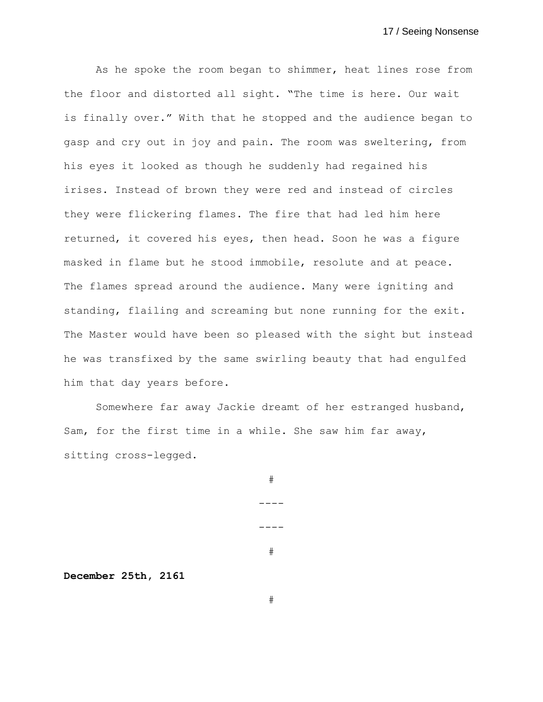As he spoke the room began to shimmer, heat lines rose from the floor and distorted all sight. "The time is here. Our wait is finally over." With that he stopped and the audience began to gasp and cry out in joy and pain. The room was sweltering, from his eyes it looked as though he suddenly had regained his irises. Instead of brown they were red and instead of circles they were flickering flames. The fire that had led him here returned, it covered his eyes, then head. Soon he was a figure masked in flame but he stood immobile, resolute and at peace. The flames spread around the audience. Many were igniting and standing, flailing and screaming but none running for the exit. The Master would have been so pleased with the sight but instead he was transfixed by the same swirling beauty that had engulfed him that day years before.

Somewhere far away Jackie dreamt of her estranged husband, Sam, for the first time in a while. She saw him far away, sitting cross-legged.

> # ---- ---- #

**December 25th, 2161**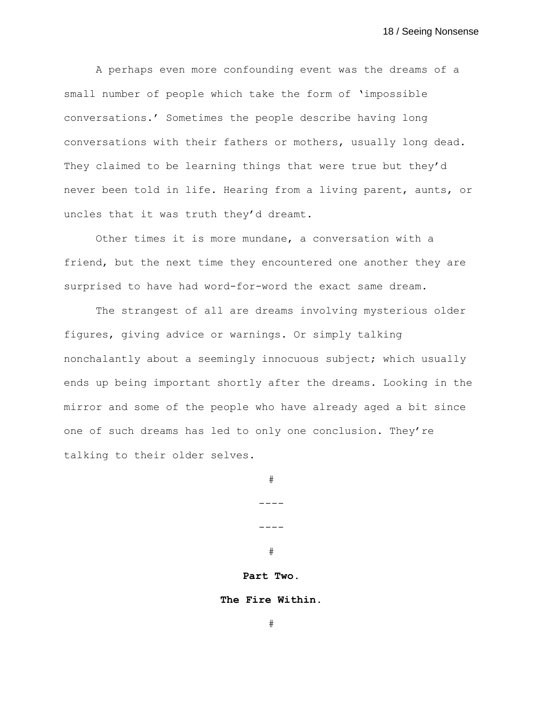A perhaps even more confounding event was the dreams of a small number of people which take the form of 'impossible conversations.' Sometimes the people describe having long conversations with their fathers or mothers, usually long dead. They claimed to be learning things that were true but they'd never been told in life. Hearing from a living parent, aunts, or uncles that it was truth they'd dreamt.

Other times it is more mundane, a conversation with a friend, but the next time they encountered one another they are surprised to have had word-for-word the exact same dream.

The strangest of all are dreams involving mysterious older figures, giving advice or warnings. Or simply talking nonchalantly about a seemingly innocuous subject; which usually ends up being important shortly after the dreams. Looking in the mirror and some of the people who have already aged a bit since one of such dreams has led to only one conclusion. They're talking to their older selves.

> # ---- ---- #

# **Part Two.**

**The Fire Within.**

#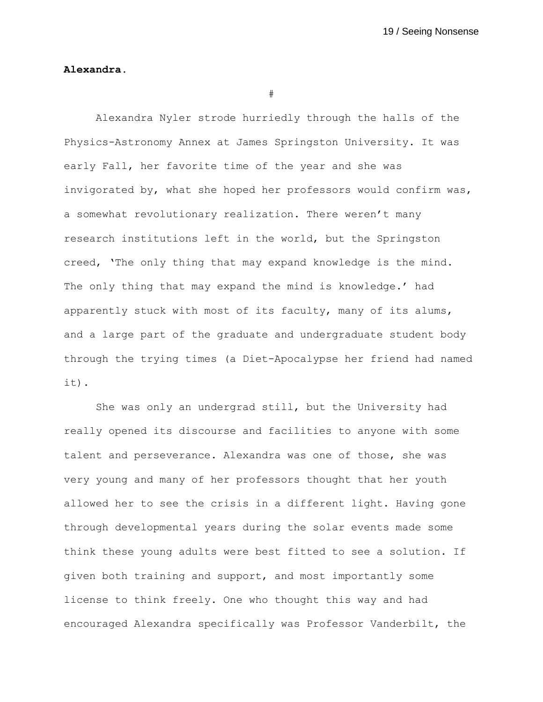## **Alexandra.**

#

Alexandra Nyler strode hurriedly through the halls of the Physics-Astronomy Annex at James Springston University. It was early Fall, her favorite time of the year and she was invigorated by, what she hoped her professors would confirm was, a somewhat revolutionary realization. There weren't many research institutions left in the world, but the Springston creed, 'The only thing that may expand knowledge is the mind. The only thing that may expand the mind is knowledge.' had apparently stuck with most of its faculty, many of its alums, and a large part of the graduate and undergraduate student body through the trying times (a Diet-Apocalypse her friend had named it).

She was only an undergrad still, but the University had really opened its discourse and facilities to anyone with some talent and perseverance. Alexandra was one of those, she was very young and many of her professors thought that her youth allowed her to see the crisis in a different light. Having gone through developmental years during the solar events made some think these young adults were best fitted to see a solution. If given both training and support, and most importantly some license to think freely. One who thought this way and had encouraged Alexandra specifically was Professor Vanderbilt, the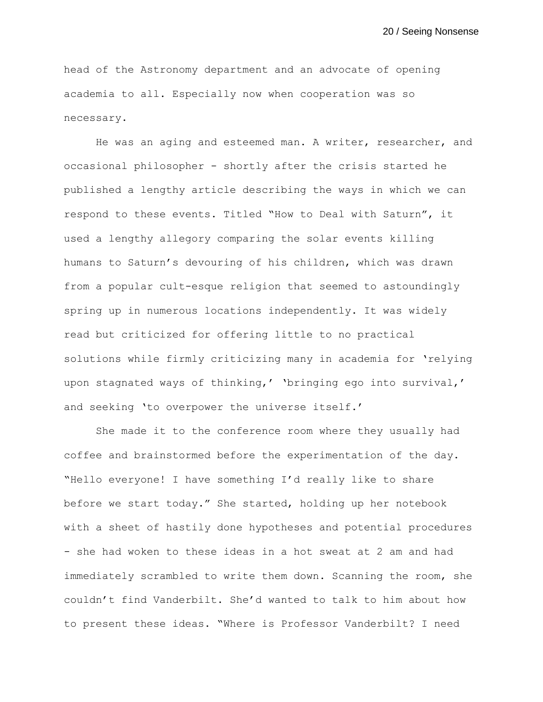head of the Astronomy department and an advocate of opening academia to all. Especially now when cooperation was so necessary.

He was an aging and esteemed man. A writer, researcher, and occasional philosopher - shortly after the crisis started he published a lengthy article describing the ways in which we can respond to these events. Titled "How to Deal with Saturn", it used a lengthy allegory comparing the solar events killing humans to Saturn's devouring of his children, which was drawn from a popular cult-esque religion that seemed to astoundingly spring up in numerous locations independently. It was widely read but criticized for offering little to no practical solutions while firmly criticizing many in academia for 'relying upon stagnated ways of thinking,' 'bringing ego into survival,' and seeking 'to overpower the universe itself.'

She made it to the conference room where they usually had coffee and brainstormed before the experimentation of the day. "Hello everyone! I have something I'd really like to share before we start today." She started, holding up her notebook with a sheet of hastily done hypotheses and potential procedures - she had woken to these ideas in a hot sweat at 2 am and had immediately scrambled to write them down. Scanning the room, she couldn't find Vanderbilt. She'd wanted to talk to him about how to present these ideas. "Where is Professor Vanderbilt? I need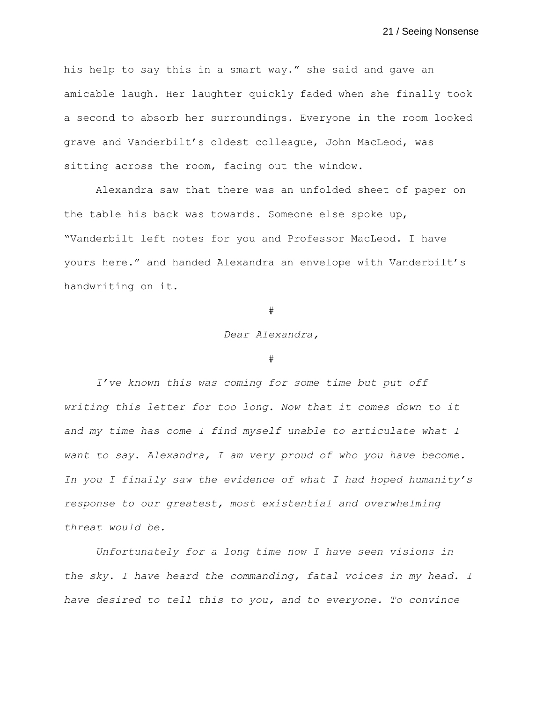his help to say this in a smart way." she said and gave an amicable laugh. Her laughter quickly faded when she finally took a second to absorb her surroundings. Everyone in the room looked grave and Vanderbilt's oldest colleague, John MacLeod, was sitting across the room, facing out the window.

Alexandra saw that there was an unfolded sheet of paper on the table his back was towards. Someone else spoke up, "Vanderbilt left notes for you and Professor MacLeod. I have yours here." and handed Alexandra an envelope with Vanderbilt's handwriting on it.

## #

## *Dear Alexandra,*

#### #

*I've known this was coming for some time but put off writing this letter for too long. Now that it comes down to it and my time has come I find myself unable to articulate what I want to say. Alexandra, I am very proud of who you have become. In you I finally saw the evidence of what I had hoped humanity's response to our greatest, most existential and overwhelming threat would be.* 

*Unfortunately for a long time now I have seen visions in the sky. I have heard the commanding, fatal voices in my head. I have desired to tell this to you, and to everyone. To convince*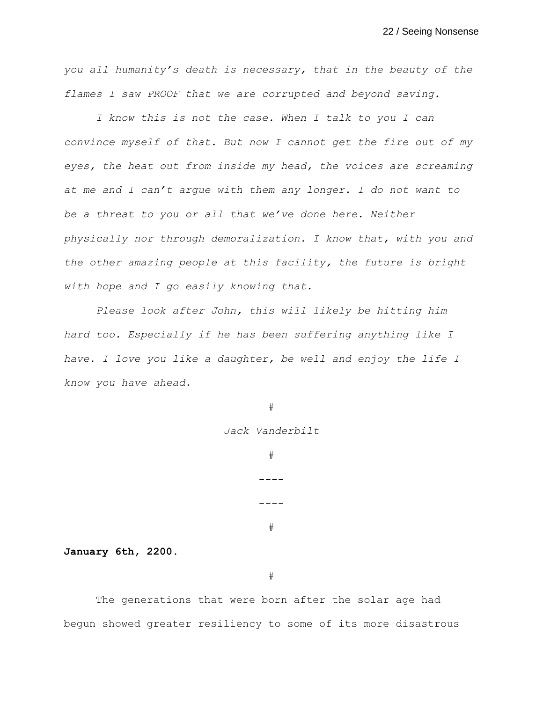*you all humanity's death is necessary, that in the beauty of the flames I saw PROOF that we are corrupted and beyond saving.* 

*I know this is not the case. When I talk to you I can convince myself of that. But now I cannot get the fire out of my eyes, the heat out from inside my head, the voices are screaming at me and I can't argue with them any longer. I do not want to be a threat to you or all that we've done here. Neither physically nor through demoralization. I know that, with you and the other amazing people at this facility, the future is bright with hope and I go easily knowing that.* 

*Please look after John, this will likely be hitting him hard too. Especially if he has been suffering anything like I have. I love you like a daughter, be well and enjoy the life I know you have ahead.*

#

*Jack Vanderbilt*

# ----

---- #

**January 6th, 2200.**

#

The generations that were born after the solar age had begun showed greater resiliency to some of its more disastrous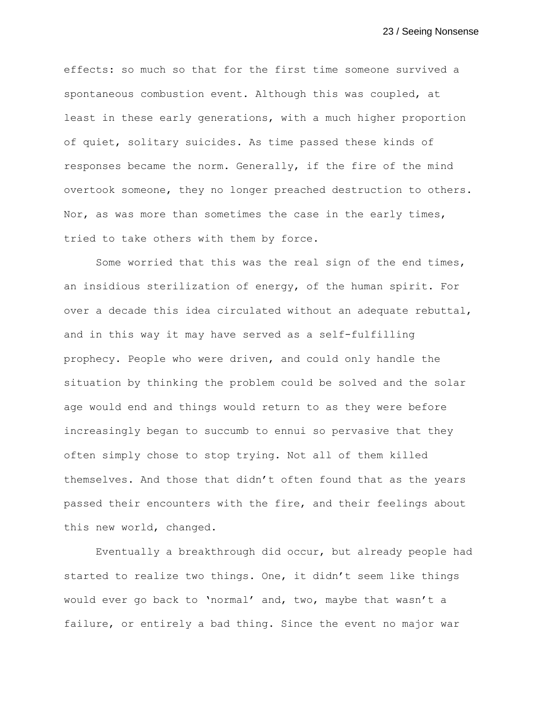effects: so much so that for the first time someone survived a spontaneous combustion event. Although this was coupled, at least in these early generations, with a much higher proportion of quiet, solitary suicides. As time passed these kinds of responses became the norm. Generally, if the fire of the mind overtook someone, they no longer preached destruction to others. Nor, as was more than sometimes the case in the early times, tried to take others with them by force.

Some worried that this was the real sign of the end times, an insidious sterilization of energy, of the human spirit. For over a decade this idea circulated without an adequate rebuttal, and in this way it may have served as a self-fulfilling prophecy. People who were driven, and could only handle the situation by thinking the problem could be solved and the solar age would end and things would return to as they were before increasingly began to succumb to ennui so pervasive that they often simply chose to stop trying. Not all of them killed themselves. And those that didn't often found that as the years passed their encounters with the fire, and their feelings about this new world, changed.

Eventually a breakthrough did occur, but already people had started to realize two things. One, it didn't seem like things would ever go back to 'normal' and, two, maybe that wasn't a failure, or entirely a bad thing. Since the event no major war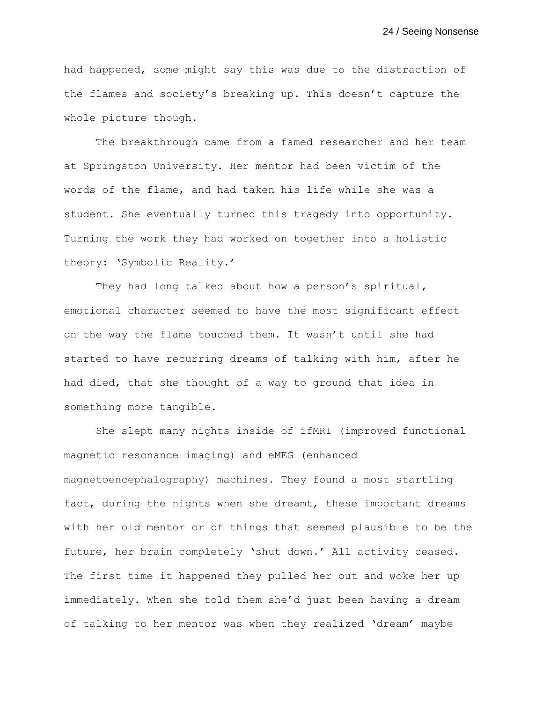had happened, some might say this was due to the distraction of the flames and society's breaking up. This doesn't capture the whole picture though.

The breakthrough came from a famed researcher and her team at Springston University. Her mentor had been victim of the words of the flame, and had taken his life while she was a student. She eventually turned this tragedy into opportunity. Turning the work they had worked on together into a holistic theory: 'Symbolic Reality.'

They had long talked about how a person's spiritual, emotional character seemed to have the most significant effect on the way the flame touched them. It wasn't until she had started to have recurring dreams of talking with him, after he had died, that she thought of a way to ground that idea in something more tangible.

She slept many nights inside of ifMRI (improved functional magnetic resonance imaging) and eMEG (enhanced magnetoencephalography) machines. They found a most startling fact, during the nights when she dreamt, these important dreams with her old mentor or of things that seemed plausible to be the future, her brain completely 'shut down.' All activity ceased. The first time it happened they pulled her out and woke her up immediately. When she told them she'd just been having a dream of talking to her mentor was when they realized 'dream' maybe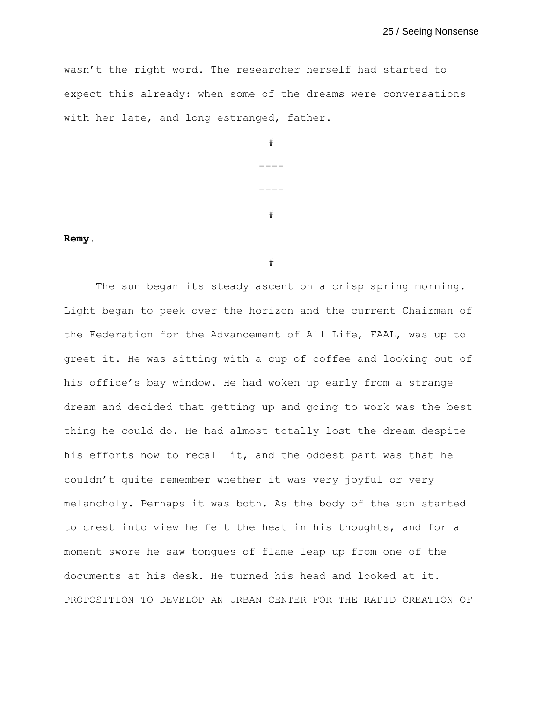wasn't the right word. The researcher herself had started to expect this already: when some of the dreams were conversations with her late, and long estranged, father.

| # |
|---|
|   |
|   |
| # |

## **Remy.**

#

The sun began its steady ascent on a crisp spring morning. Light began to peek over the horizon and the current Chairman of the Federation for the Advancement of All Life, FAAL, was up to greet it. He was sitting with a cup of coffee and looking out of his office's bay window. He had woken up early from a strange dream and decided that getting up and going to work was the best thing he could do. He had almost totally lost the dream despite his efforts now to recall it, and the oddest part was that he couldn't quite remember whether it was very joyful or very melancholy. Perhaps it was both. As the body of the sun started to crest into view he felt the heat in his thoughts, and for a moment swore he saw tongues of flame leap up from one of the documents at his desk. He turned his head and looked at it. PROPOSITION TO DEVELOP AN URBAN CENTER FOR THE RAPID CREATION OF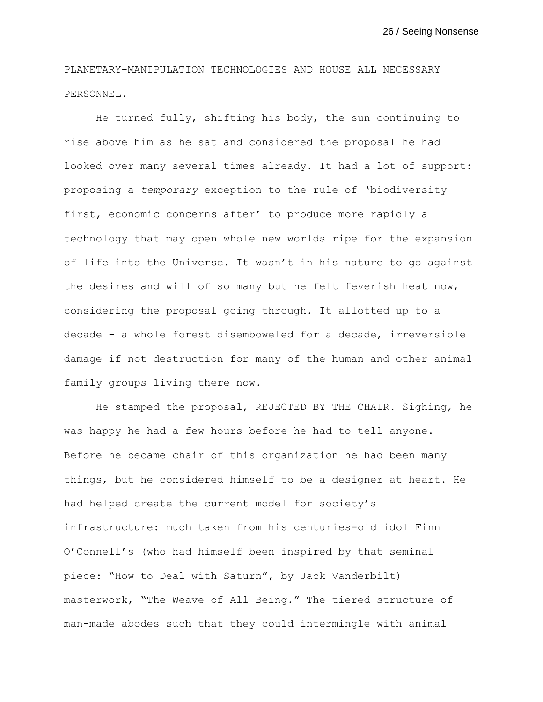PLANETARY-MANIPULATION TECHNOLOGIES AND HOUSE ALL NECESSARY PERSONNEL.

He turned fully, shifting his body, the sun continuing to rise above him as he sat and considered the proposal he had looked over many several times already. It had a lot of support: proposing a *temporary* exception to the rule of 'biodiversity first, economic concerns after' to produce more rapidly a technology that may open whole new worlds ripe for the expansion of life into the Universe. It wasn't in his nature to go against the desires and will of so many but he felt feverish heat now, considering the proposal going through. It allotted up to a decade - a whole forest disemboweled for a decade, irreversible damage if not destruction for many of the human and other animal family groups living there now.

He stamped the proposal, REJECTED BY THE CHAIR. Sighing, he was happy he had a few hours before he had to tell anyone. Before he became chair of this organization he had been many things, but he considered himself to be a designer at heart. He had helped create the current model for society's infrastructure: much taken from his centuries-old idol Finn O'Connell's (who had himself been inspired by that seminal piece: "How to Deal with Saturn", by Jack Vanderbilt) masterwork, "The Weave of All Being." The tiered structure of man-made abodes such that they could intermingle with animal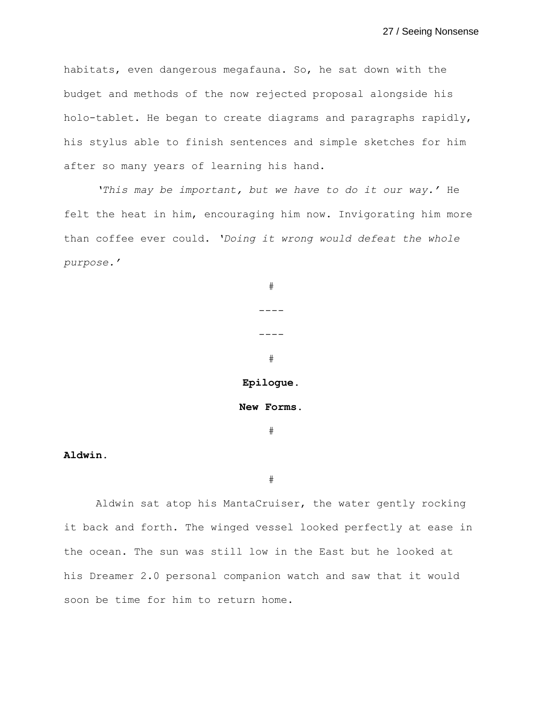habitats, even dangerous megafauna. So, he sat down with the budget and methods of the now rejected proposal alongside his holo-tablet. He began to create diagrams and paragraphs rapidly, his stylus able to finish sentences and simple sketches for him after so many years of learning his hand.

*'This may be important, but we have to do it our way.'* He felt the heat in him, encouraging him now. Invigorating him more than coffee ever could. *'Doing it wrong would defeat the whole purpose.'*

> #  $-- ----$ # **Epilogue. New Forms.** #

## **Aldwin.**

#

Aldwin sat atop his MantaCruiser, the water gently rocking it back and forth. The winged vessel looked perfectly at ease in the ocean. The sun was still low in the East but he looked at his Dreamer 2.0 personal companion watch and saw that it would soon be time for him to return home.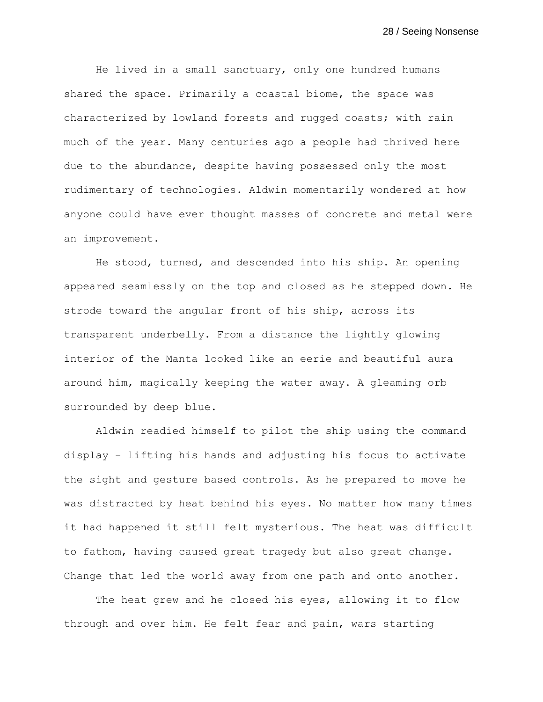He lived in a small sanctuary, only one hundred humans shared the space. Primarily a coastal biome, the space was characterized by lowland forests and rugged coasts; with rain much of the year. Many centuries ago a people had thrived here due to the abundance, despite having possessed only the most rudimentary of technologies. Aldwin momentarily wondered at how anyone could have ever thought masses of concrete and metal were an improvement.

He stood, turned, and descended into his ship. An opening appeared seamlessly on the top and closed as he stepped down. He strode toward the angular front of his ship, across its transparent underbelly. From a distance the lightly glowing interior of the Manta looked like an eerie and beautiful aura around him, magically keeping the water away. A gleaming orb surrounded by deep blue.

Aldwin readied himself to pilot the ship using the command display - lifting his hands and adjusting his focus to activate the sight and gesture based controls. As he prepared to move he was distracted by heat behind his eyes. No matter how many times it had happened it still felt mysterious. The heat was difficult to fathom, having caused great tragedy but also great change. Change that led the world away from one path and onto another.

The heat grew and he closed his eyes, allowing it to flow through and over him. He felt fear and pain, wars starting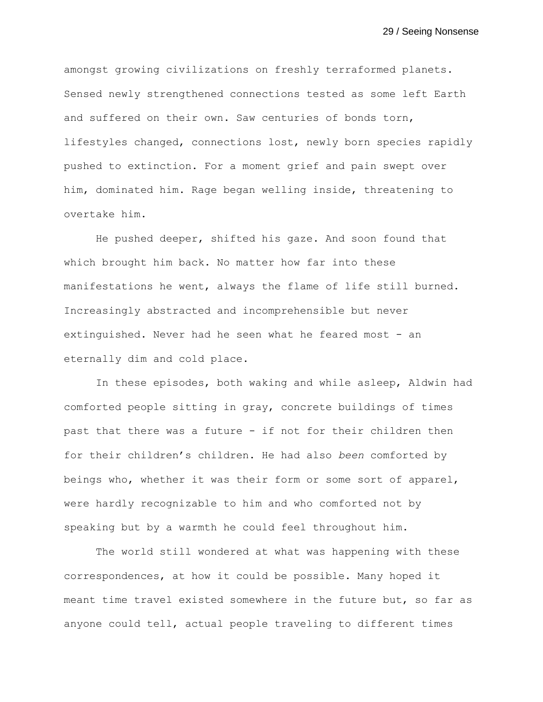amongst growing civilizations on freshly terraformed planets. Sensed newly strengthened connections tested as some left Earth and suffered on their own. Saw centuries of bonds torn, lifestyles changed, connections lost, newly born species rapidly pushed to extinction. For a moment grief and pain swept over him, dominated him. Rage began welling inside, threatening to overtake him.

He pushed deeper, shifted his gaze. And soon found that which brought him back. No matter how far into these manifestations he went, always the flame of life still burned. Increasingly abstracted and incomprehensible but never extinguished. Never had he seen what he feared most - an eternally dim and cold place.

In these episodes, both waking and while asleep, Aldwin had comforted people sitting in gray, concrete buildings of times past that there was a future - if not for their children then for their children's children. He had also *been* comforted by beings who, whether it was their form or some sort of apparel, were hardly recognizable to him and who comforted not by speaking but by a warmth he could feel throughout him.

The world still wondered at what was happening with these correspondences, at how it could be possible. Many hoped it meant time travel existed somewhere in the future but, so far as anyone could tell, actual people traveling to different times